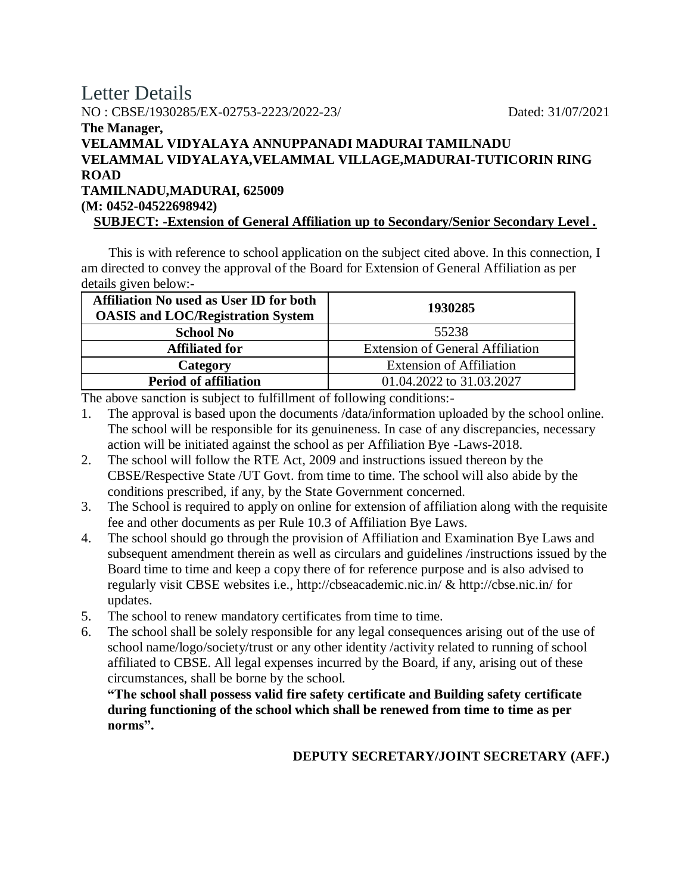## Letter Details NO : CBSE/1930285/EX-02753-2223/2022-23/ Dated: 31/07/2021 **The Manager, VELAMMAL VIDYALAYA ANNUPPANADI MADURAI TAMILNADU VELAMMAL VIDYALAYA,VELAMMAL VILLAGE,MADURAI-TUTICORIN RING ROAD TAMILNADU,MADURAI, 625009 (M: 0452-04522698942) SUBJECT: -Extension of General Affiliation up to Secondary/Senior Secondary Level .**

 This is with reference to school application on the subject cited above. In this connection, I am directed to convey the approval of the Board for Extension of General Affiliation as per details given below:-

| <b>Affiliation No used as User ID for both</b><br><b>OASIS and LOC/Registration System</b> | 1930285                                 |  |
|--------------------------------------------------------------------------------------------|-----------------------------------------|--|
| <b>School No</b>                                                                           | 55238                                   |  |
| <b>Affiliated for</b>                                                                      | <b>Extension of General Affiliation</b> |  |
| Category                                                                                   | <b>Extension of Affiliation</b>         |  |
| <b>Period of affiliation</b>                                                               | 01.04.2022 to 31.03.2027                |  |

The above sanction is subject to fulfillment of following conditions:-

- 1. The approval is based upon the documents /data/information uploaded by the school online. The school will be responsible for its genuineness. In case of any discrepancies, necessary action will be initiated against the school as per Affiliation Bye -Laws-2018.
- 2. The school will follow the RTE Act, 2009 and instructions issued thereon by the CBSE/Respective State /UT Govt. from time to time. The school will also abide by the conditions prescribed, if any, by the State Government concerned.
- 3. The School is required to apply on online for extension of affiliation along with the requisite fee and other documents as per Rule 10.3 of Affiliation Bye Laws.
- 4. The school should go through the provision of Affiliation and Examination Bye Laws and subsequent amendment therein as well as circulars and guidelines /instructions issued by the Board time to time and keep a copy there of for reference purpose and is also advised to regularly visit CBSE websites i.e., http://cbseacademic.nic.in/ & http://cbse.nic.in/ for updates.
- 5. The school to renew mandatory certificates from time to time.
- 6. The school shall be solely responsible for any legal consequences arising out of the use of school name/logo/society/trust or any other identity /activity related to running of school affiliated to CBSE. All legal expenses incurred by the Board, if any, arising out of these circumstances, shall be borne by the school.

**"The school shall possess valid fire safety certificate and Building safety certificate during functioning of the school which shall be renewed from time to time as per norms".**

## **DEPUTY SECRETARY/JOINT SECRETARY (AFF.)**